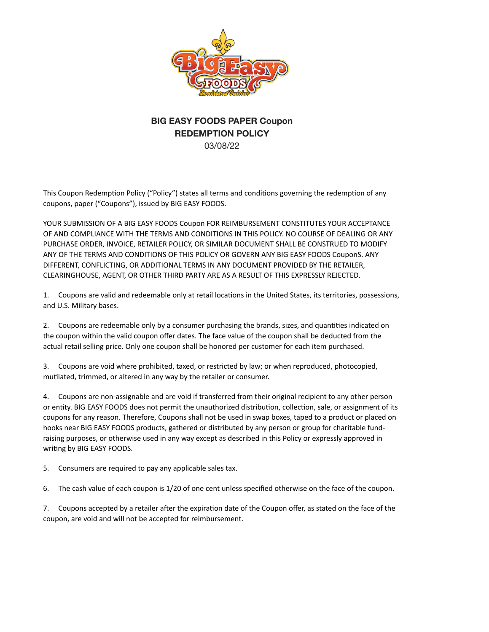

## **BIG EASY FOODS PAPER Coupon REDEMPTION POLICY**  03/08/22

This Coupon Redemption Policy ("Policy") states all terms and conditions governing the redemption of any coupons, paper ("Coupons"), issued by BIG EASY FOODS.

YOUR SUBMISSION OF A BIG EASY FOODS Coupon FOR REIMBURSEMENT CONSTITUTES YOUR ACCEPTANCE OF AND COMPLIANCE WITH THE TERMS AND CONDITIONS IN THIS POLICY. NO COURSE OF DEALING OR ANY PURCHASE ORDER, INVOICE, RETAILER POLICY, OR SIMILAR DOCUMENT SHALL BE CONSTRUED TO MODIFY ANY OF THE TERMS AND CONDITIONS OF THIS POLICY OR GOVERN ANY BIG EASY FOODS CouponS. ANY DIFFERENT, CONFLICTING, OR ADDITIONAL TERMS IN ANY DOCUMENT PROVIDED BY THE RETAILER, CLEARINGHOUSE, AGENT, OR OTHER THIRD PARTY ARE AS A RESULT OF THIS EXPRESSLY REJECTED.

1. Coupons are valid and redeemable only at retail locations in the United States, its territories, possessions, and U.S. Military bases.

2. Coupons are redeemable only by a consumer purchasing the brands, sizes, and quantities indicated on the coupon within the valid coupon offer dates. The face value of the coupon shall be deducted from the actual retail selling price. Only one coupon shall be honored per customer for each item purchased.

3. Coupons are void where prohibited, taxed, or restricted by law; or when reproduced, photocopied, mutilated, trimmed, or altered in any way by the retailer or consumer.

4. Coupons are non-assignable and are void if transferred from their original recipient to any other person or entity. BIG EASY FOODS does not permit the unauthorized distribution, collection, sale, or assignment of its coupons for any reason. Therefore, Coupons shall not be used in swap boxes, taped to a product or placed on hooks near BIG EASY FOODS products, gathered or distributed by any person or group for charitable fundraising purposes, or otherwise used in any way except as described in this Policy or expressly approved in writing by BIG EASY FOODS.

5. Consumers are required to pay any applicable sales tax.

6. The cash value of each coupon is 1/20 of one cent unless specified otherwise on the face of the coupon.

7. Coupons accepted by a retailer after the expiration date of the Coupon offer, as stated on the face of the coupon, are void and will not be accepted for reimbursement.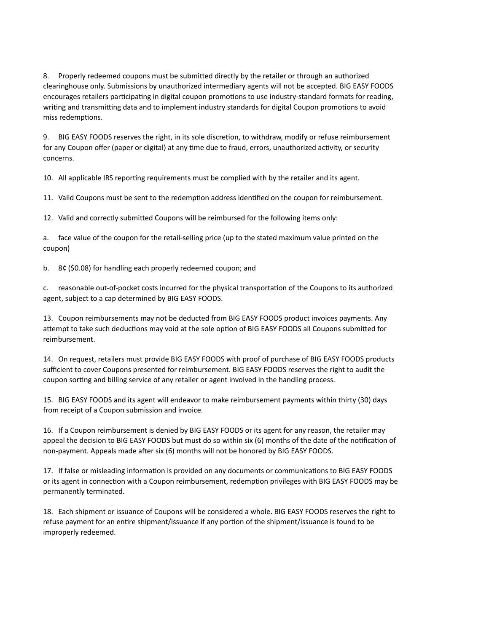8. Properly redeemed coupons must be submitted directly by the retailer or through an authorized clearinghouse only. Submissions by unauthorized intermediary agents will not be accepted. BIG EASY FOODS encourages retailers participating in digital coupon promotions to use industry-standard formats for reading, writing and transmitting data and to implement industry standards for digital Coupon promotions to avoid miss redemptions.

9. BIG EASY FOODS reserves the right, in its sole discretion, to withdraw, modify or refuse reimbursement for any Coupon offer (paper or digital) at any time due to fraud, errors, unauthorized activity, or security concerns.

10. All applicable IRS reporting requirements must be complied with by the retailer and its agent.

11. Valid Coupons must be sent to the redemption address identified on the coupon for reimbursement.

12. Valid and correctly submitted Coupons will be reimbursed for the following items only:

a. face value of the coupon for the retail-selling price (up to the stated maximum value printed on the coupon)

b. 8¢ (\$0.08) for handling each properly redeemed coupon; and

c. reasonable out-of-pocket costs incurred for the physical transportation of the Coupons to its authorized agent, subject to a cap determined by BIG EASY FOODS.

13. Coupon reimbursements may not be deducted from BIG EASY FOODS product invoices payments. Any attempt to take such deductions may void at the sole option of BIG EASY FOODS all Coupons submitted for reimbursement.

14. On request, retailers must provide BIG EASY FOODS with proof of purchase of BIG EASY FOODS products sufficient to cover Coupons presented for reimbursement. BIG EASY FOODS reserves the right to audit the coupon sorting and billing service of any retailer or agent involved in the handling process.

15. BIG EASY FOODS and its agent will endeavor to make reimbursement payments within thirty (30) days from receipt of a Coupon submission and invoice.

16. If a Coupon reimbursement is denied by BIG EASY FOODS or its agent for any reason, the retailer may appeal the decision to BIG EASY FOODS but must do so within six (6) months of the date of the notification of non-payment. Appeals made after six (6) months will not be honored by BIG EASY FOODS.

17. If false or misleading information is provided on any documents or communications to BIG EASY FOODS or its agent in connection with a Coupon reimbursement, redemption privileges with BIG EASY FOODS may be permanently terminated.

18. Each shipment or issuance of Coupons will be considered a whole. BIG EASY FOODS reserves the right to refuse payment for an entire shipment/issuance if any portion of the shipment/issuance is found to be improperly redeemed.